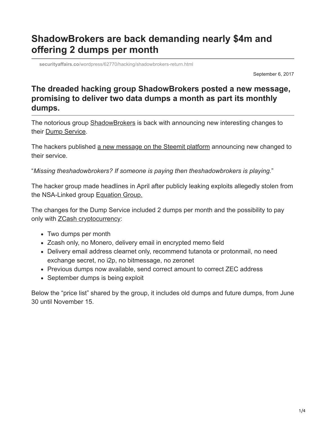## **ShadowBrokers are back demanding nearly \$4m and offering 2 dumps per month**

**securityaffairs.co**[/wordpress/62770/hacking/shadowbrokers-return.html](http://securityaffairs.co/wordpress/62770/hacking/shadowbrokers-return.html)

September 6, 2017

## **The dreaded hacking group ShadowBrokers posted a new message, promising to deliver two data dumps a month as part its monthly dumps.**

The notorious group **[ShadowBrokers](http://securityaffairs.co/wordpress/60525/hacking/shadow-brokers-june-dump.html)** is back with announcing new interesting changes to their [Dump Service](http://securityaffairs.co/wordpress/59565/uncategorized/shadow-brokers-zero-day-service.html).

The hackers published [a new message on the Steemit platform](https://steemit.com/shadowbrokers/@theshadowbrokers/theshadowbrokers-dump-service-september-2017) announcing new changed to their service.

"*Missing theshadowbrokers? If someone is paying then theshadowbrokers is playing.*"

The hacker group made headlines in April after publicly leaking exploits allegedly stolen from the NSA-Linked group [Equation Group.](http://securityaffairs.co/wordpress/51879/hacking/shadowbrokers.html)

The changes for the Dump Service included 2 dumps per month and the possibility to pay only with **[ZCash cryptocurrency](http://securityaffairs.co/wordpress/54314/cyber-crime/zcash-cybercrime.html):** 

- Two dumps per month
- Zcash only, no Monero, delivery email in encrypted memo field
- Delivery email address clearnet only, recommend tutanota or protonmail, no need exchange secret, no i2p, no bitmessage, no zeronet
- Previous dumps now available, send correct amount to correct ZEC address
- September dumps is being exploit

Below the "price list" shared by the group, it includes old dumps and future dumps, from June 30 until November 15.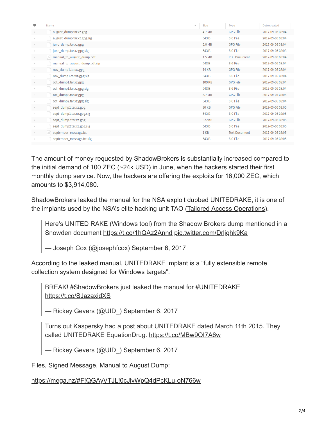| ٠        | Name                          | Size<br>业    | Type                 | Date created     |
|----------|-------------------------------|--------------|----------------------|------------------|
|          | august_dump.tar.xz.gpg        | 4.7 MB       | <b>GPG File</b>      | 2017-09-06 08:04 |
|          | august_dump.tar.xz.gpg.sig    | 543 B        | SIG File             | 2017-09-06 08:04 |
| $\alpha$ | june_dump.tar.xz.gpg          | 2.0 MB       | <b>GPG File</b>      | 2017-09-06 08:04 |
| $\alpha$ | june_dump.tar.xz.gpg.sig      | 543 B        | SIG File             | 2017-09-06 08:03 |
| $\alpha$ | manual_to_august_dump.pdf     | 1.5 MB       | <b>PDF</b> Document  | 2017-09-06 08:04 |
| $\sim$   | manual_to_august_dump.pdf.sig | 543 B        | SIG File             | 2017-09-06 08:04 |
| $\alpha$ | nov_dump1.tar.xz.gpg          | 14 KB        | <b>GPG File</b>      | 2017-09-06 08:04 |
| $\sim$   | nov_dump1.tar.xz.gpg.sig      | 543 B        | SIG File             | 2017-09-06 08:04 |
| $\alpha$ | oct_dump1.tar.xz.gpg          | 109 KB       | <b>GPG File</b>      | 2017-09-06 08:04 |
|          | oct_dump1.tar.xz.gpg.sig      | 543 B        | SIG File             | 2017-09-06 08:04 |
|          | oct_dump2.tar.xz.gpg          | 5.7 MB       | <b>GPG File</b>      | 2017-09-06 08:05 |
|          | oct_dump2.tar.xz.gpg.sig      | 543 B        | SIG File             | 2017-09-06 08:04 |
|          | sept_dump1.tar.xz.gpg         | <b>80 KB</b> | <b>GPG File</b>      | 2017-09-06 08:05 |
|          | sept_dump1.tar.xz.gpg.sig     | 543 B        | SIG File             | 2017-09-06 08:05 |
| $\alpha$ | sept_dump2.tar.xz.gpg         | 322 KB       | <b>GPG File</b>      | 2017-09-06 08:05 |
| $\alpha$ | sept_dump2.tar.xz.gpg.sig     | 543 B        | SIG File             | 2017-09-06 08:05 |
| $\alpha$ | september_message.txt         | 1 KB         | <b>Text Document</b> | 2017-09-06 08:05 |
|          | september_message.txt.sig     | 543 B        | SIG File             | 2017-09-06 08:05 |

The amount of money requested by ShadowBrokers is substantially increased compared to the initial demand of 100 ZEC (~24k USD) in June, when the hackers started their first monthly dump service. Now, the hackers are offering the exploits for 16,000 ZEC, which amounts to \$3,914,080.

ShadowBrokers leaked the manual for the NSA exploit dubbed UNITEDRAKE, it is one of the implants used by the NSA's elite hacking unit TAO ([Tailored Access Operations\)](http://securityaffairs.co/wordpress/20819/intelligence/tao-nsa-backdoor-catalog.html).

Here's UNITED RAKE (Windows tool) from the Shadow Brokers dump mentioned in a Snowden document <https://t.co/1hQAz2Annd> [pic.twitter.com/Drljghk9Ka](https://t.co/Drljghk9Ka)

— Joseph Cox (@josephfcox) [September 6, 2017](https://twitter.com/josephfcox/status/905338616813150208)

According to the leaked manual, UNITEDRAKE implant is a "fully extensible remote collection system designed for Windows targets".

BREAK! [#ShadowBrokers](https://twitter.com/hashtag/ShadowBrokers?src=hash) just leaked the manual for [#UNITEDRAKE](https://twitter.com/hashtag/UNITEDRAKE?src=hash) <https://t.co/SJazaxidXS>

— Rickey Gevers (@UID) [September 6, 2017](https://twitter.com/UID_/status/905347907892781056)

Turns out Kaspersky had a post about UNITEDRAKE dated March 11th 2015. They called UNITEDRAKE EquationDrug. <https://t.co/MBw9OI7A6w>

— Rickey Gevers (@UID) [September 6, 2017](https://twitter.com/UID_/status/905352188746194944)

Files, Signed Message, Manual to August Dump:

<https://mega.nz/#F!QGAyVTJL!0cJlvWpQ4dPcKLu-oN766w>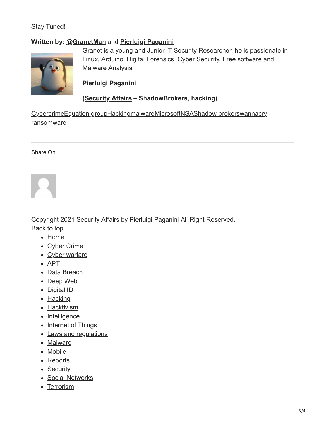## Stay Tuned!

## **Written by: [@GranetMan](https://twitter.com/GranetMan)** and **[Pierluigi Paganini](http://www.linkedin.com/pub/pierluigi-paganini/b/742/559)**



Granet is a young and Junior IT Security Researcher, he is passionate in Linux, Arduino, Digital Forensics, Cyber Security, Free software and Malware Analysis

**[Pierluigi Paganini](http://www.linkedin.com/pub/pierluigi-paganini/b/742/559)**

**([Security Affairs](http://securityaffairs.co/wordpress/) – ShadowBrokers, hacking)**

[Cybercrim](https://securityaffairs.co/wordpress/tag/cybercrime)[e](https://securityaffairs.co/wordpress/tag/wannacry-ransomware)[Equation group](https://securityaffairs.co/wordpress/tag/equation-group)[H](https://securityaffairs.co/wordpress/tag/wannacry-ransomware)[ackin](https://securityaffairs.co/wordpress/tag/hacking)[g](https://securityaffairs.co/wordpress/tag/wannacry-ransomware)[malwar](https://securityaffairs.co/wordpress/tag/malware-2)[e](https://securityaffairs.co/wordpress/tag/wannacry-ransomware)[Microsof](https://securityaffairs.co/wordpress/tag/microsoft)[t](https://securityaffairs.co/wordpress/tag/wannacry-ransomware)[NSA](https://securityaffairs.co/wordpress/tag/nsa)[S](https://securityaffairs.co/wordpress/tag/wannacry-ransomware)[hadow brokers](https://securityaffairs.co/wordpress/tag/shadow-brokers)[wannacry](https://securityaffairs.co/wordpress/tag/wannacry-ransomware) **ransomware** 

Share On



Copyright 2021 Security Affairs by Pierluigi Paganini All Right Reserved. Back to top

- [Home](http://securityaffairs.co/wordpress/)
- [Cyber Crime](https://securityaffairs.co/wordpress/category/cyber-crime)
- [Cyber warfare](https://securityaffairs.co/wordpress/category/cyber-warfare-2)
- $\overline{APT}$  $\overline{APT}$  $\overline{APT}$
- [Data Breach](https://securityaffairs.co/wordpress/category/data-breach)
- [Deep Web](https://securityaffairs.co/wordpress/category/deep-web)
- [Digital ID](https://securityaffairs.co/wordpress/category/digital-id)
- [Hacking](https://securityaffairs.co/wordpress/category/hacking)
- [Hacktivism](https://securityaffairs.co/wordpress/category/hacktivism)
- [Intelligence](https://securityaffairs.co/wordpress/category/intelligence)
- [Internet of Things](https://securityaffairs.co/wordpress/category/iot)
- [Laws and regulations](https://securityaffairs.co/wordpress/category/laws-and-regulations)
- [Malware](https://securityaffairs.co/wordpress/category/malware)
- [Mobile](https://securityaffairs.co/wordpress/category/mobile-2)
- [Reports](https://securityaffairs.co/wordpress/category/reports)
- [Security](https://securityaffairs.co/wordpress/category/security)
- [Social Networks](https://securityaffairs.co/wordpress/category/social-networks)
- [Terrorism](https://securityaffairs.co/wordpress/category/terrorism)